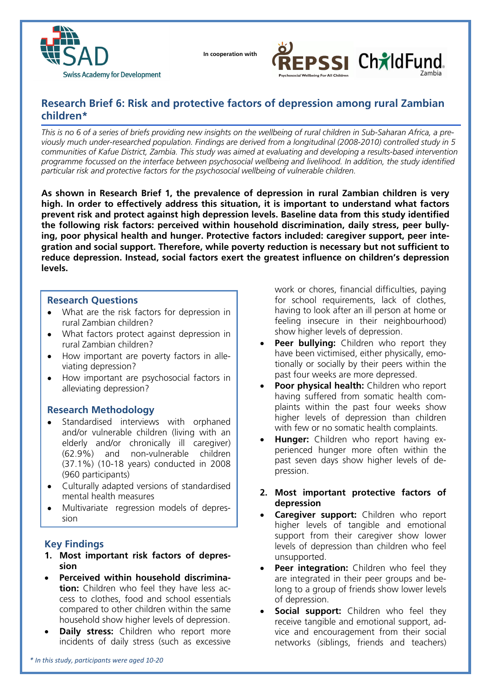

 **In cooperation with**



# **Research Brief 6: Risk and protective factors of depression among rural Zambian children\***

*This is no 6 of a series of briefs providing new insights on the wellbeing of rural children in Sub-Saharan Africa, a previously much under-researched population. Findings are derived from a longitudinal (2008-2010) controlled study in 5 communities of Kafue District, Zambia. This study was aimed at evaluating and developing a results-based intervention programme focussed on the interface between psychosocial wellbeing and livelihood. In addition, the study identified particular risk and protective factors for the psychosocial wellbeing of vulnerable children.* 

**As shown in Research Brief 1, the prevalence of depression in rural Zambian children is very high. In order to effectively address this situation, it is important to understand what factors prevent risk and protect against high depression levels. Baseline data from this study identified the following risk factors: perceived within household discrimination, daily stress, peer bullying, poor physical health and hunger. Protective factors included: caregiver support, peer integration and social support. Therefore, while poverty reduction is necessary but not sufficient to reduce depression. Instead, social factors exert the greatest influence on children's depression levels.** 

#### **Research Questions**

- What are the risk factors for depression in rural Zambian children?
- What factors protect against depression in rural Zambian children?
- How important are poverty factors in alleviating depression?
- How important are psychosocial factors in alleviating depression?

### **Research Methodology**

- Standardised interviews with orphaned and/or vulnerable children (living with an elderly and/or chronically ill caregiver) (62.9%) and non-vulnerable children (37.1%) (10-18 years) conducted in 2008 (960 participants)
- Culturally adapted versions of standardised mental health measures
- Multivariate regression models of depression

### **Key Findings**

- **1. Most important risk factors of depression**
- **Perceived within household discrimination:** Children who feel they have less access to clothes, food and school essentials compared to other children within the same household show higher levels of depression.
- **Daily stress:** Children who report more incidents of daily stress (such as excessive

work or chores, financial difficulties, paying for school requirements, lack of clothes, having to look after an ill person at home or feeling insecure in their neighbourhood) show higher levels of depression.

- **Peer bullying:** Children who report they have been victimised, either physically, emotionally or socially by their peers within the past four weeks are more depressed.
- **Poor physical health:** Children who report having suffered from somatic health complaints within the past four weeks show higher levels of depression than children with few or no somatic health complaints.
- **Hunger:** Children who report having experienced hunger more often within the past seven days show higher levels of depression.
- **2. Most important protective factors of depression**
- **Caregiver support:** Children who report higher levels of tangible and emotional support from their caregiver show lower levels of depression than children who feel unsupported.
- **Peer integration:** Children who feel they are integrated in their peer groups and belong to a group of friends show lower levels of depression.
- **Social support:** Children who feel they receive tangible and emotional support, advice and encouragement from their social networks (siblings, friends and teachers)